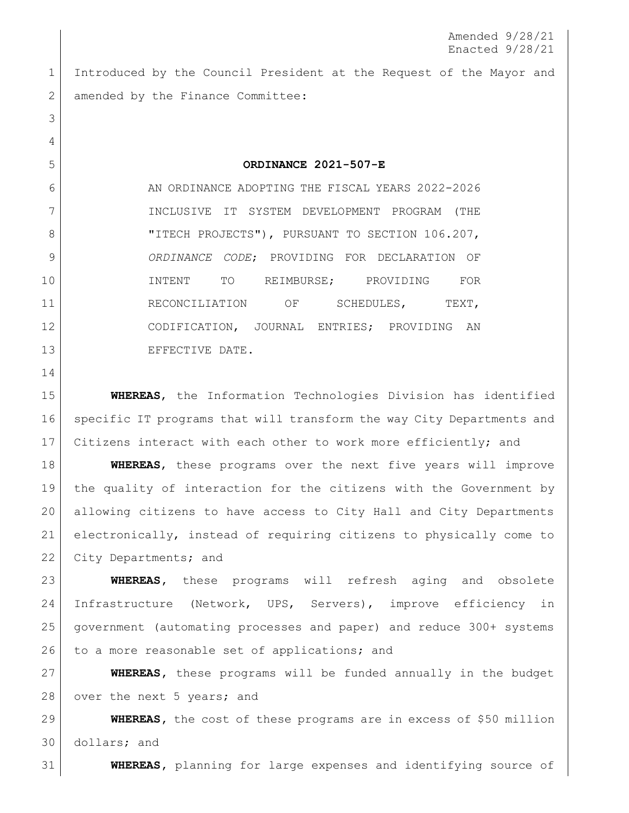Introduced by the Council President at the Request of the Mayor and 2 amended by the Finance Committee:

**ORDINANCE 2021-507-E**

 AN ORDINANCE ADOPTING THE FISCAL YEARS 2022-2026 INCLUSIVE IT SYSTEM DEVELOPMENT PROGRAM (THE 8 | TITECH PROJECTS"), PURSUANT TO SECTION 106.207, *ORDINANCE CODE*; PROVIDING FOR DECLARATION OF 10 | INTENT TO REIMBURSE; PROVIDING FOR 11 RECONCILIATION OF SCHEDULES, TEXT, CODIFICATION, JOURNAL ENTRIES; PROVIDING AN 13 EFFECTIVE DATE.

 **WHEREAS**, the Information Technologies Division has identified specific IT programs that will transform the way City Departments and Citizens interact with each other to work more efficiently; and

 **WHEREAS**, these programs over the next five years will improve the quality of interaction for the citizens with the Government by allowing citizens to have access to City Hall and City Departments electronically, instead of requiring citizens to physically come to 22 City Departments; and

 **WHEREAS,** these programs will refresh aging and obsolete Infrastructure (Network, UPS, Servers), improve efficiency in government (automating processes and paper) and reduce 300+ systems 26 to a more reasonable set of applications; and

 **WHEREAS,** these programs will be funded annually in the budget 28 over the next 5 years; and

 **WHEREAS,** the cost of these programs are in excess of \$50 million dollars; and

**WHEREAS,** planning for large expenses and identifying source of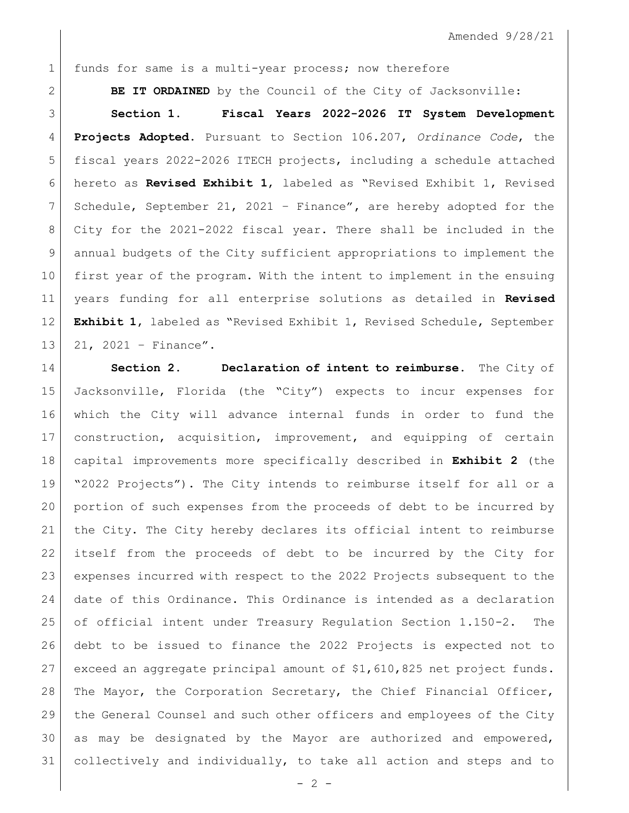Amended 9/28/21

1 funds for same is a multi-year process; now therefore

**BE IT ORDAINED** by the Council of the City of Jacksonville:

 **Section 1**. **Fiscal Years 2022-2026 IT System Development Projects Adopted.** Pursuant to Section 106.207, *Ordinance Code*, the fiscal years 2022-2026 ITECH projects, including a schedule attached hereto as **Revised Exhibit 1**, labeled as "Revised Exhibit 1, Revised Schedule, September 21, 2021 – Finance"**,** are hereby adopted for the City for the 2021-2022 fiscal year. There shall be included in the annual budgets of the City sufficient appropriations to implement the first year of the program. With the intent to implement in the ensuing years funding for all enterprise solutions as detailed in **Revised Exhibit 1**, labeled as "Revised Exhibit 1, Revised Schedule, September 13 21, 2021 - Finance".

 **Section 2. Declaration of intent to reimburse.** The City of Jacksonville, Florida (the "City") expects to incur expenses for which the City will advance internal funds in order to fund the construction, acquisition, improvement, and equipping of certain capital improvements more specifically described in **Exhibit 2** (the "2022 Projects"). The City intends to reimburse itself for all or a portion of such expenses from the proceeds of debt to be incurred by the City. The City hereby declares its official intent to reimburse itself from the proceeds of debt to be incurred by the City for expenses incurred with respect to the 2022 Projects subsequent to the date of this Ordinance. This Ordinance is intended as a declaration of official intent under Treasury Regulation Section 1.150-2. The debt to be issued to finance the 2022 Projects is expected not to exceed an aggregate principal amount of \$1,610,825 net project funds. 28 | The Mayor, the Corporation Secretary, the Chief Financial Officer, the General Counsel and such other officers and employees of the City as may be designated by the Mayor are authorized and empowered, collectively and individually, to take all action and steps and to

 $-2 -$